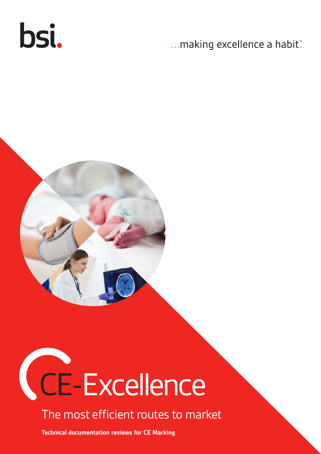bsi.

... making excellence a habit."





The most efficient routes to market

**Technical documentation reviews for CE Marking**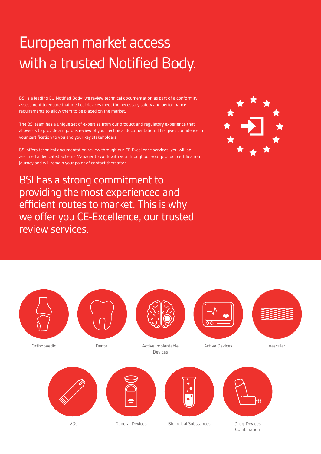# European market access with a trusted Notified Body.

BSI is a leading EU Notified Body; we review technical documentation as part of a conformity assessment to ensure that medical devices meet the necessary safety and performance requirements to allow them to be placed on the market.

The BSI team has a unique set of expertise from our product and regulatory experience that allows us to provide a rigorous review of your technical documentation. This gives confidence in your certification to you and your key stakeholders.

BSI offers technical documentation review through our CE-Excellence services; you will be assigned a dedicated Scheme Manager to work with you throughout your product certification journey and will remain your point of contact thereafter.

BSI has a strong commitment to providing the most experienced and efficient routes to market. This is why we offer you CE-Excellence, our trusted review services.



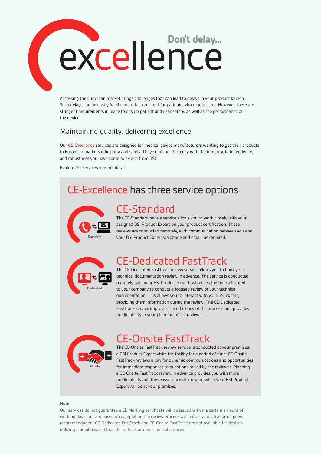# Cexcellence

Accessing the European market brings challenges that can lead to delays in your product launch. Such delays can be costly for the manufacturer, and for patients who require care. However, there are stringent requirements in place to ensure patient and user safety, as well as the performance of the device.

#### Maintaining quality, delivering excellence

Our CE-Excellence services are designed for medical device manufacturers wanting to get their products to European markets efficiently and safely. They combine efficiency with the integrity, independence, and robustness you have come to expect from BSI.

Explore the services in more detail.

# CE-Excellence has three service options



### CE-Standard

The CE-Standard review service allows you to work closely with your assigned BSI Product Expert on your product certification. These reviews are conducted remotely, with communication between you and your BSI Product Expert via phone and email, as required.



## CE-Dedicated FastTrack

The CE-Dedicated FastTrack review service allows you to book your technical documentation review in advance. The service is conducted remotely with your BSI Product Expert, who uses the time allocated to your company to conduct a focused review of your technical documentation. This allows you to interact with your BSI expert, providing them information during the review. The CE-Dedicated FastTrack service improves the efficiency of the process, and provides predictability in your planning of the review.



## CE-Onsite FastTrack

The CE-Onsite FastTrack review service is conducted at your premises; a BSI Product Expert visits the facility for a period of time. CE-Onsite FastTrack reviews allow for dynamic communications and opportunities for immediate responses to questions raised by the reviewer. Planning a CE-Onsite FastTrack review in advance provides you with more predictability and the reassurance of knowing when your BSI Product Expert will be at your premises.

#### **Note:**

Our services do not guarantee a CE Marking certificate will be issued within a certain amount of working days, but are based on completing the review process with either a positive or negative recommendation. CE-Dedicated FastTrack and CE-Onsite FastTrack are not available for devices utilizing animal tissue, blood derivatives or medicinal substances.